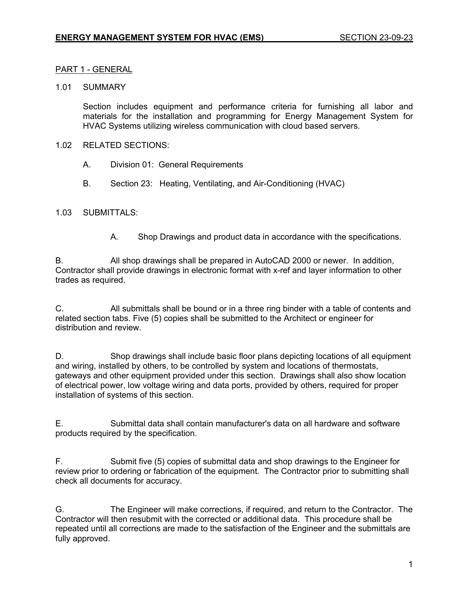#### PART 1 - GENERAL

#### 1.01 SUMMARY

Section includes equipment and performance criteria for furnishing all labor and materials for the installation and programming for Energy Management System for HVAC Systems utilizing wireless communication with cloud based servers.

#### 1.02 RELATED SECTIONS:

- A. Division 01: General Requirements
- B. Section 23: Heating, Ventilating, and Air-Conditioning (HVAC)

#### 1.03 SUBMITTALS:

A. Shop Drawings and product data in accordance with the specifications.

B. All shop drawings shall be prepared in AutoCAD 2000 or newer. In addition, Contractor shall provide drawings in electronic format with x-ref and layer information to other trades as required.

C. All submittals shall be bound or in a three ring binder with a table of contents and related section tabs. Five (5) copies shall be submitted to the Architect or engineer for distribution and review.

D. Shop drawings shall include basic floor plans depicting locations of all equipment and wiring, installed by others, to be controlled by system and locations of thermostats, gateways and other equipment provided under this section. Drawings shall also show location of electrical power, low voltage wiring and data ports, provided by others, required for proper installation of systems of this section.

E. Submittal data shall contain manufacturer's data on all hardware and software products required by the specification.

F. Submit five (5) copies of submittal data and shop drawings to the Engineer for review prior to ordering or fabrication of the equipment. The Contractor prior to submitting shall check all documents for accuracy.

G. The Engineer will make corrections, if required, and return to the Contractor. The Contractor will then resubmit with the corrected or additional data. This procedure shall be repeated until all corrections are made to the satisfaction of the Engineer and the submittals are fully approved.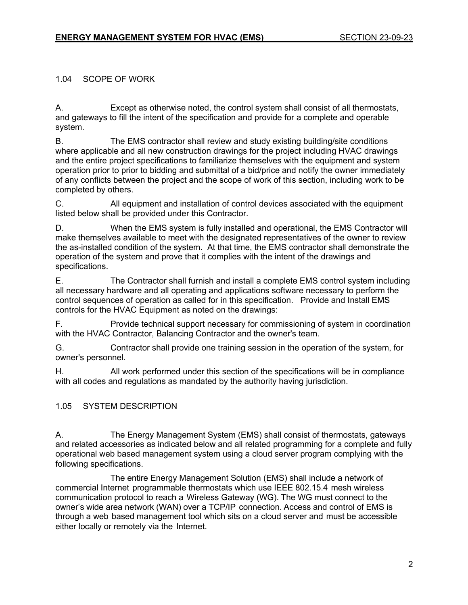### 1.04 SCOPE OF WORK

A. Except as otherwise noted, the control system shall consist of all thermostats, and gateways to fill the intent of the specification and provide for a complete and operable system.

B. The EMS contractor shall review and study existing building/site conditions where applicable and all new construction drawings for the project including HVAC drawings and the entire project specifications to familiarize themselves with the equipment and system operation prior to prior to bidding and submittal of a bid/price and notify the owner immediately of any conflicts between the project and the scope of work of this section, including work to be completed by others.

C. All equipment and installation of control devices associated with the equipment listed below shall be provided under this Contractor.

D. When the EMS system is fully installed and operational, the EMS Contractor will make themselves available to meet with the designated representatives of the owner to review the as-installed condition of the system. At that time, the EMS contractor shall demonstrate the operation of the system and prove that it complies with the intent of the drawings and specifications.

E. The Contractor shall furnish and install a complete EMS control system including all necessary hardware and all operating and applications software necessary to perform the control sequences of operation as called for in this specification. Provide and Install EMS controls for the HVAC Equipment as noted on the drawings:

F. Provide technical support necessary for commissioning of system in coordination with the HVAC Contractor, Balancing Contractor and the owner's team.

G. Contractor shall provide one training session in the operation of the system, for owner's personnel.

H. All work performed under this section of the specifications will be in compliance with all codes and regulations as mandated by the authority having jurisdiction.

# 1.05 SYSTEM DESCRIPTION

A. The Energy Management System (EMS) shall consist of thermostats, gateways and related accessories as indicated below and all related programming for a complete and fully operational web based management system using a cloud server program complying with the following specifications.

The entire Energy Management Solution (EMS) shall include a network of commercial Internet programmable thermostats which use IEEE 802.15.4 mesh wireless communication protocol to reach a Wireless Gateway (WG). The WG must connect to the owner's wide area network (WAN) over a TCP/IP connection. Access and control of EMS is through a web based management tool which sits on a cloud server and must be accessible either locally or remotely via the Internet.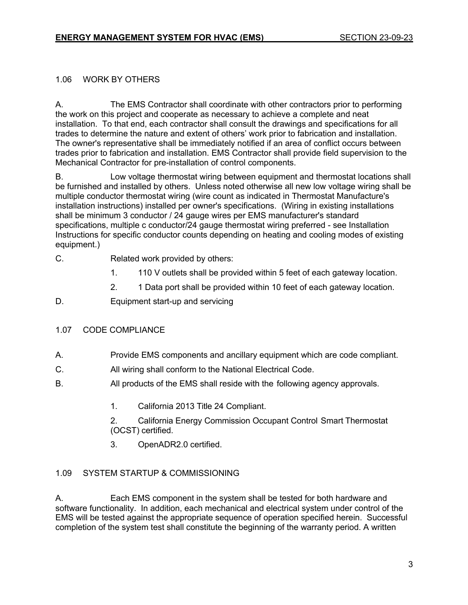### 1.06 WORK BY OTHERS

A. The EMS Contractor shall coordinate with other contractors prior to performing the work on this project and cooperate as necessary to achieve a complete and neat installation. To that end, each contractor shall consult the drawings and specifications for all trades to determine the nature and extent of others' work prior to fabrication and installation. The owner's representative shall be immediately notified if an area of conflict occurs between trades prior to fabrication and installation. EMS Contractor shall provide field supervision to the Mechanical Contractor for pre-installation of control components.

B. Low voltage thermostat wiring between equipment and thermostat locations shall be furnished and installed by others. Unless noted otherwise all new low voltage wiring shall be multiple conductor thermostat wiring (wire count as indicated in Thermostat Manufacture's installation instructions) installed per owner's specifications. (Wiring in existing installations shall be minimum 3 conductor / 24 gauge wires per EMS manufacturer's standard specifications, multiple c conductor/24 gauge thermostat wiring preferred - see Installation Instructions for specific conductor counts depending on heating and cooling modes of existing equipment.)

- C. Related work provided by others:
	- 1. 110 V outlets shall be provided within 5 feet of each gateway location.
	- 2. 1 Data port shall be provided within 10 feet of each gateway location.
- D. Equipment start-up and servicing

# 1.07 CODE COMPLIANCE

- A. Provide EMS components and ancillary equipment which are code compliant.
- C. All wiring shall conform to the National Electrical Code.
- B. All products of the EMS shall reside with the following agency approvals.
	- 1. California 2013 Title 24 Compliant.

2. California Energy Commission Occupant Control Smart Thermostat (OCST) certified.

3. OpenADR2.0 certified.

# 1.09 SYSTEM STARTUP & COMMISSIONING

A. Each EMS component in the system shall be tested for both hardware and software functionality. In addition, each mechanical and electrical system under control of the EMS will be tested against the appropriate sequence of operation specified herein. Successful completion of the system test shall constitute the beginning of the warranty period. A written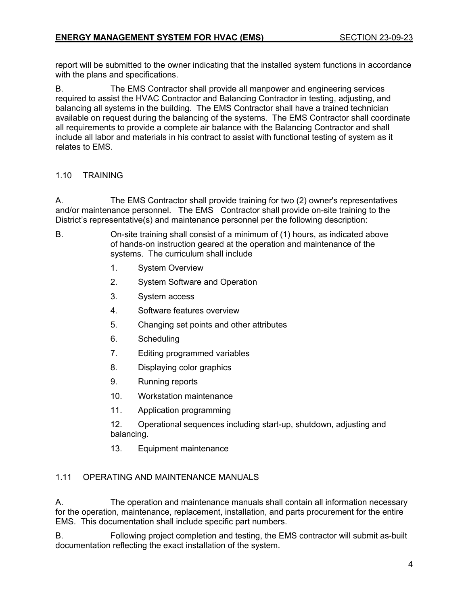report will be submitted to the owner indicating that the installed system functions in accordance with the plans and specifications.

B. The EMS Contractor shall provide all manpower and engineering services required to assist the HVAC Contractor and Balancing Contractor in testing, adjusting, and balancing all systems in the building. The EMS Contractor shall have a trained technician available on request during the balancing of the systems. The EMS Contractor shall coordinate all requirements to provide a complete air balance with the Balancing Contractor and shall include all labor and materials in his contract to assist with functional testing of system as it relates to EMS.

# 1.10 TRAINING

A. The EMS Contractor shall provide training for two (2) owner's representatives and/or maintenance personnel. The EMS Contractor shall provide on-site training to the District's representative(s) and maintenance personnel per the following description:

- B. On-site training shall consist of a minimum of (1) hours, as indicated above of hands-on instruction geared at the operation and maintenance of the systems. The curriculum shall include
	- 1. System Overview
	- 2. System Software and Operation
	- 3. System access
	- 4. Software features overview
	- 5. Changing set points and other attributes
	- 6. Scheduling
	- 7. Editing programmed variables
	- 8. Displaying color graphics
	- 9. Running reports
	- 10. Workstation maintenance
	- 11. Application programming
	- 12. Operational sequences including start-up, shutdown, adjusting and balancing.
	- 13. Equipment maintenance

# 1.11 OPERATING AND MAINTENANCE MANUALS

A. The operation and maintenance manuals shall contain all information necessary for the operation, maintenance, replacement, installation, and parts procurement for the entire EMS. This documentation shall include specific part numbers.

B. Following project completion and testing, the EMS contractor will submit as-built documentation reflecting the exact installation of the system.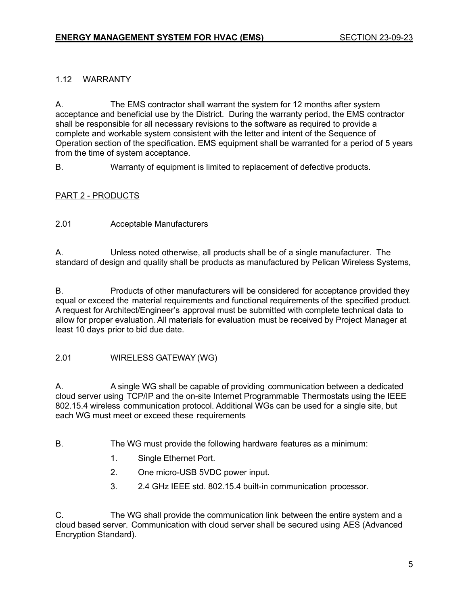### 1.12 WARRANTY

A. The EMS contractor shall warrant the system for 12 months after system acceptance and beneficial use by the District. During the warranty period, the EMS contractor shall be responsible for all necessary revisions to the software as required to provide a complete and workable system consistent with the letter and intent of the Sequence of Operation section of the specification. EMS equipment shall be warranted for a period of 5 years from the time of system acceptance.

B. Warranty of equipment is limited to replacement of defective products.

### PART 2 - PRODUCTS

2.01 Acceptable Manufacturers

A. Unless noted otherwise, all products shall be of a single manufacturer. The standard of design and quality shall be products as manufactured by Pelican Wireless Systems,

B. Products of other manufacturers will be considered for acceptance provided they equal or exceed the material requirements and functional requirements of the specified product. A request for Architect/Engineer's approval must be submitted with complete technical data to allow for proper evaluation. All materials for evaluation must be received by Project Manager at least 10 days prior to bid due date.

### 2.01 WIRELESS GATEWAY(WG)

A. A single WG shall be capable of providing communication between a dedicated cloud server using TCP/IP and the on-site Internet Programmable Thermostats using the IEEE 802.15.4 wireless communication protocol. Additional WGs can be used for a single site, but each WG must meet or exceed these requirements

- B. The WG must provide the following hardware features as a minimum:
	- 1. Single Ethernet Port.
	- 2. One micro-USB 5VDC power input.
	- 3. 2.4 GHz IEEE std. 802.15.4 built-in communication processor.

C. The WG shall provide the communication link between the entire system and a cloud based server. Communication with cloud server shall be secured using AES (Advanced Encryption Standard).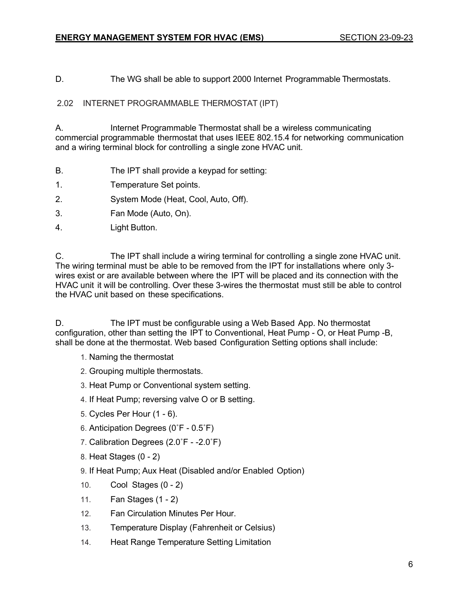D. The WG shall be able to support 2000 Internet Programmable Thermostats.

2.02 INTERNET PROGRAMMABLE THERMOSTAT (IPT)

A. Internet Programmable Thermostat shall be a wireless communicating commercial programmable thermostat that uses IEEE 802.15.4 for networking communication and a wiring terminal block for controlling a single zone HVAC unit.

- B. The IPT shall provide a keypad for setting:
- 1. Temperature Set points.
- 2. System Mode (Heat, Cool, Auto, Off).
- 3. Fan Mode (Auto, On).
- 4. Light Button.

C. The IPT shall include a wiring terminal for controlling a single zone HVAC unit. The wiring terminal must be able to be removed from the IPT for installations where only 3 wires exist or are available between where the IPT will be placed and its connection with the HVAC unit it will be controlling. Over these 3-wires the thermostat must still be able to control the HVAC unit based on these specifications.

D. The IPT must be configurable using a Web Based App. No thermostat configuration, other than setting the IPT to Conventional, Heat Pump - O, or Heat Pump -B, shall be done at the thermostat. Web based Configuration Setting options shall include:

- 1. Naming the thermostat
- 2. Grouping multiple thermostats.
- 3. Heat Pump or Conventional system setting.
- 4. If Heat Pump; reversing valve O or B setting.
- 5. Cycles Per Hour (1 6).
- 6. Anticipation Degrees (0˚F 0.5˚F)
- 7. Calibration Degrees (2.0˚F -2.0˚F)
- 8. Heat Stages (0 2)
- 9. If Heat Pump; Aux Heat (Disabled and/or Enabled Option)
- 10. Cool Stages (0 2)
- 11. Fan Stages (1 2)
- 12. Fan Circulation Minutes Per Hour.
- 13. Temperature Display (Fahrenheit or Celsius)
- 14. Heat Range Temperature Setting Limitation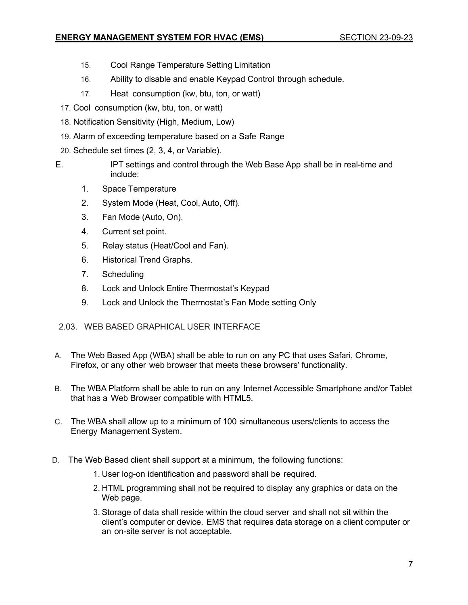### **ENERGY MANAGEMENT SYSTEM FOR HVAC (EMS) SECTION 23-09-23**

- 15. Cool Range Temperature Setting Limitation
- 16. Ability to disable and enable Keypad Control through schedule.
- 17. Heat consumption (kw, btu, ton, or watt)
- 17. Cool consumption (kw, btu, ton, or watt)
- 18. Notification Sensitivity (High, Medium, Low)
- 19. Alarm of exceeding temperature based on a Safe Range
- 20. Schedule set times (2, 3, 4, or Variable).
- E. IPT settings and control through the Web Base App shall be in real-time and include:
	- 1. Space Temperature
	- 2. System Mode (Heat, Cool, Auto, Off).
	- 3. Fan Mode (Auto, On).
	- 4. Current set point.
	- 5. Relay status (Heat/Cool and Fan).
	- 6. Historical Trend Graphs.
	- 7. Scheduling
	- 8. Lock and Unlock Entire Thermostat's Keypad
	- 9. Lock and Unlock the Thermostat's Fan Mode setting Only

# 2.03. WEB BASED GRAPHICAL USER INTERFACE

- A. The Web Based App (WBA) shall be able to run on any PC that uses Safari, Chrome, Firefox, or any other web browser that meets these browsers' functionality.
- B. The WBA Platform shall be able to run on any Internet Accessible Smartphone and/or Tablet that has a Web Browser compatible with HTML5.
- C. The WBA shall allow up to a minimum of 100 simultaneous users/clients to access the Energy Management System.
- D. The Web Based client shall support at a minimum, the following functions:
	- 1. User log-on identification and password shall be required.
	- 2. HTML programming shall not be required to display any graphics or data on the Web page.
	- 3. Storage of data shall reside within the cloud server and shall not sit within the client's computer or device. EMS that requires data storage on a client computer or an on-site server is not acceptable.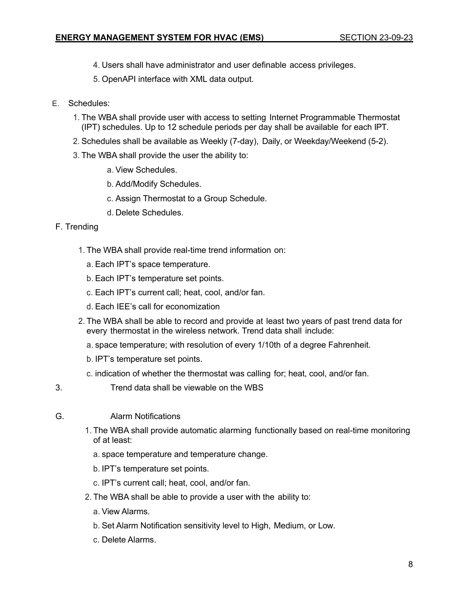- 4. Users shall have administrator and user definable access privileges.
- 5. OpenAPI interface with XML data output.
- E. Schedules:
	- 1. The WBA shall provide user with access to setting Internet Programmable Thermostat (IPT) schedules. Up to 12 schedule periods per day shall be available for each IPT.
	- 2. Schedules shall be available as Weekly (7-day), Daily, or Weekday/Weekend (5-2).
	- 3. The WBA shall provide the user the ability to:
		- a. View Schedules.
		- b. Add/Modify Schedules.
		- c. Assign Thermostat to a Group Schedule.
		- d. Delete Schedules.
- F. Trending
	- 1. The WBA shall provide real-time trend information on:
		- a. Each IPT's space temperature.
		- b. Each IPT's temperature set points.
		- c. Each IPT's current call; heat, cool, and/or fan.
		- d. Each IEE's call for economization
	- 2. The WBA shall be able to record and provide at least two years of past trend data for every thermostat in the wireless network. Trend data shall include:
		- a. space temperature; with resolution of every 1/10th of a degree Fahrenheit.
		- b. IPT's temperature set points.
		- c. indication of whether the thermostat was calling for; heat, cool, and/or fan.
- 3. Trend data shall be viewable on the WBS
- G. Alarm Notifications
	- 1. The WBA shall provide automatic alarming functionally based on real-time monitoring of at least:
		- a. space temperature and temperature change.
		- b. IPT's temperature set points.
		- c. IPT's current call; heat, cool, and/or fan.
	- 2. The WBA shall be able to provide a user with the ability to:
		- a. View Alarms.
		- b. Set Alarm Notification sensitivity level to High, Medium, or Low.
		- c. Delete Alarms.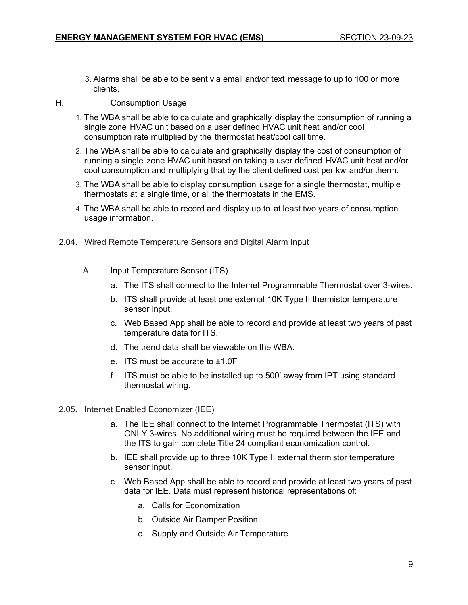- 3. Alarms shall be able to be sent via email and/or text message to up to 100 or more clients.
- H. Consumption Usage
	- 1. The WBA shall be able to calculate and graphically display the consumption of running a single zone HVAC unit based on a user defined HVAC unit heat and/or cool consumption rate multiplied by the thermostat heat/cool call time.
	- 2. The WBA shall be able to calculate and graphically display the cost of consumption of running a single zone HVAC unit based on taking a user defined HVAC unit heat and/or cool consumption and multiplying that by the client defined cost per kw and/or therm.
	- 3. The WBA shall be able to display consumption usage for a single thermostat, multiple thermostats at a single time, or all the thermostats in the EMS.
	- 4. The WBA shall be able to record and display up to at least two years of consumption usage information.
- 2.04. Wired Remote Temperature Sensors and Digital Alarm Input
	- A. Input Temperature Sensor (ITS).
		- a. The ITS shall connect to the Internet Programmable Thermostat over 3-wires.
		- b. ITS shall provide at least one external 10K Type II thermistor temperature sensor input.
		- c. Web Based App shall be able to record and provide at least two years of past temperature data for ITS.
		- d. The trend data shall be viewable on the WBA.
		- e. ITS must be accurate to ±1.0̊F
		- f. ITS must be able to be installed up to 500' away from IPT using standard thermostat wiring.
- 2.05. Internet Enabled Economizer (IEE)
	- a. The IEE shall connect to the Internet Programmable Thermostat (ITS) with ONLY 3-wires. No additional wiring must be required between the IEE and the ITS to gain complete Title 24 compliant economization control.
	- b. IEE shall provide up to three 10K Type II external thermistor temperature sensor input.
	- c. Web Based App shall be able to record and provide at least two years of past data for IEE. Data must represent historical representations of:
		- a. Calls for Economization
		- b. Outside Air Damper Position
		- c. Supply and Outside Air Temperature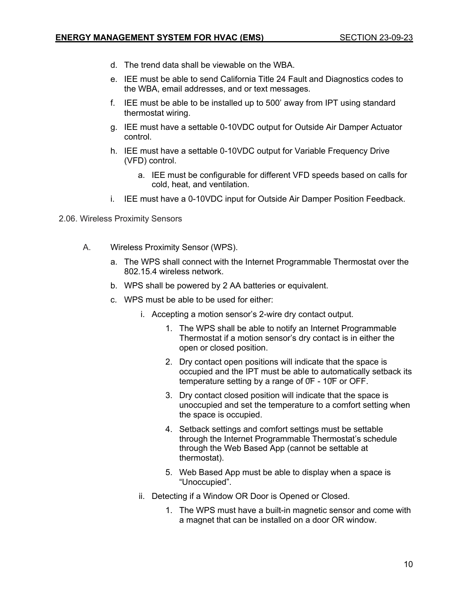- d. The trend data shall be viewable on the WBA.
- e. IEE must be able to send California Title 24 Fault and Diagnostics codes to the WBA, email addresses, and or text messages.
- f. IEE must be able to be installed up to 500' away from IPT using standard thermostat wiring.
- g. IEE must have a settable 0-10VDC output for Outside Air Damper Actuator control.
- h. IEE must have a settable 0-10VDC output for Variable Frequency Drive (VFD) control.
	- a. IEE must be configurable for different VFD speeds based on calls for cold, heat, and ventilation.
- i. IEE must have a 0-10VDC input for Outside Air Damper Position Feedback.

2.06. Wireless Proximity Sensors

- A. Wireless Proximity Sensor (WPS).
	- a. The WPS shall connect with the Internet Programmable Thermostat over the 802.15.4 wireless network.
	- b. WPS shall be powered by 2 AA batteries or equivalent.
	- c. WPS must be able to be used for either:
		- i. Accepting a motion sensor's 2-wire dry contact output.
			- 1. The WPS shall be able to notify an Internet Programmable Thermostat if a motion sensor's dry contact is in either the open or closed position.
			- 2. Dry contact open positions will indicate that the space is occupied and the IPT must be able to automatically setback its temperature setting by a range of 0̊F - 10̊F or OFF.
			- 3. Dry contact closed position will indicate that the space is unoccupied and set the temperature to a comfort setting when the space is occupied.
			- 4. Setback settings and comfort settings must be settable through the Internet Programmable Thermostat's schedule through the Web Based App (cannot be settable at thermostat).
			- 5. Web Based App must be able to display when a space is "Unoccupied".
		- ii. Detecting if a Window OR Door is Opened or Closed.
			- 1. The WPS must have a built-in magnetic sensor and come with a magnet that can be installed on a door OR window.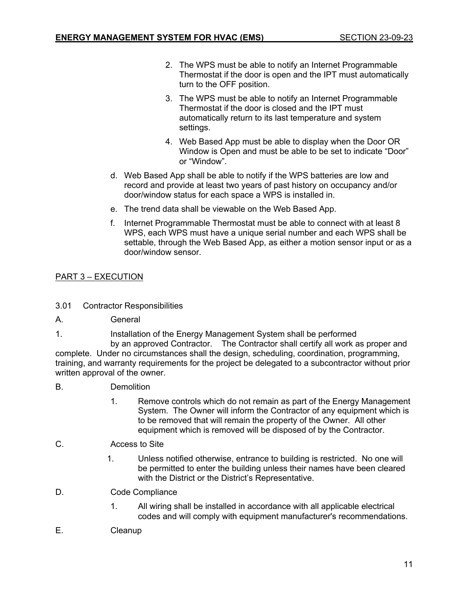- 2. The WPS must be able to notify an Internet Programmable Thermostat if the door is open and the IPT must automatically turn to the OFF position.
- 3. The WPS must be able to notify an Internet Programmable Thermostat if the door is closed and the IPT must automatically return to its last temperature and system settings.
- 4. Web Based App must be able to display when the Door OR Window is Open and must be able to be set to indicate "Door" or "Window".
- d. Web Based App shall be able to notify if the WPS batteries are low and record and provide at least two years of past history on occupancy and/or door/window status for each space a WPS is installed in.
- e. The trend data shall be viewable on the Web Based App.
- f. Internet Programmable Thermostat must be able to connect with at least 8 WPS, each WPS must have a unique serial number and each WPS shall be settable, through the Web Based App, as either a motion sensor input or as a door/window sensor.

# PART 3 – EXECUTION

- 3.01 Contractor Responsibilities
- A. General
- 1. Installation of the Energy Management System shall be performed

by an approved Contractor. The Contractor shall certify all work as proper and complete. Under no circumstances shall the design, scheduling, coordination, programming, training, and warranty requirements for the project be delegated to a subcontractor without prior written approval of the owner.

- B. Demolition
	- 1. Remove controls which do not remain as part of the Energy Management System. The Owner will inform the Contractor of any equipment which is to be removed that will remain the property of the Owner. All other equipment which is removed will be disposed of by the Contractor.
- C. Access to Site
	- 1. Unless notified otherwise, entrance to building is restricted. No one will be permitted to enter the building unless their names have been cleared with the District or the District's Representative.
- D. Code Compliance
	- 1. All wiring shall be installed in accordance with all applicable electrical codes and will comply with equipment manufacturer's recommendations.
- E. Cleanup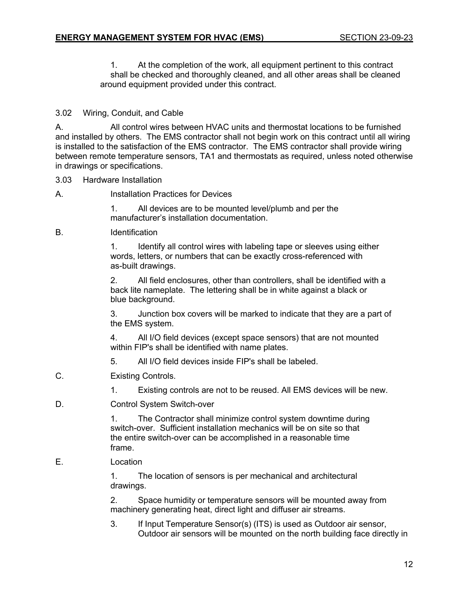1. At the completion of the work, all equipment pertinent to this contract shall be checked and thoroughly cleaned, and all other areas shall be cleaned around equipment provided under this contract.

### 3.02 Wiring, Conduit, and Cable

A. All control wires between HVAC units and thermostat locations to be furnished and installed by others. The EMS contractor shall not begin work on this contract until all wiring is installed to the satisfaction of the EMS contractor. The EMS contractor shall provide wiring between remote temperature sensors, TA1 and thermostats as required, unless noted otherwise in drawings or specifications.

### 3.03 Hardware Installation

### A. Installation Practices for Devices

1. All devices are to be mounted level/plumb and per the manufacturer's installation documentation.

### B. Identification

1. Identify all control wires with labeling tape or sleeves using either words, letters, or numbers that can be exactly cross-referenced with as-built drawings.

2. All field enclosures, other than controllers, shall be identified with a back lite nameplate. The lettering shall be in white against a black or blue background.

3. Junction box covers will be marked to indicate that they are a part of the EMS system.

4. All I/O field devices (except space sensors) that are not mounted within FIP's shall be identified with name plates.

- 5. All I/O field devices inside FIP's shall be labeled.
- C. Existing Controls.
	- 1. Existing controls are not to be reused. All EMS devices will be new.
- D. Control System Switch-over

1. The Contractor shall minimize control system downtime during switch-over. Sufficient installation mechanics will be on site so that the entire switch-over can be accomplished in a reasonable time frame.

E. Location

1. The location of sensors is per mechanical and architectural drawings.

2. Space humidity or temperature sensors will be mounted away from machinery generating heat, direct light and diffuser air streams.

3. If Input Temperature Sensor(s) (ITS) is used as Outdoor air sensor, Outdoor air sensors will be mounted on the north building face directly in